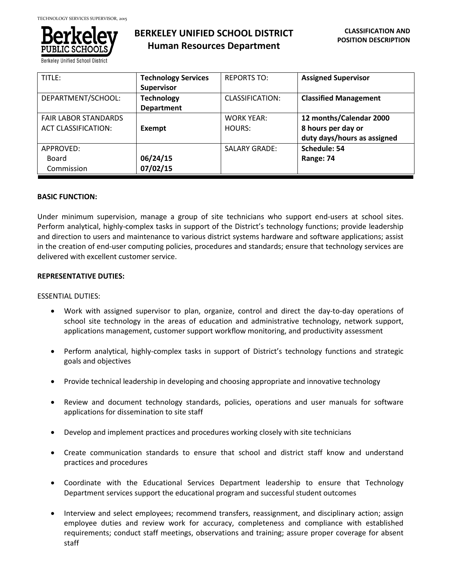

**Berkeley Unified School Dis** 

# **BERKELEY UNIFIED SCHOOL DISTRICT Human Resources Department**

| TITLE:                                                    | <b>Technology Services</b><br><b>Supervisor</b> | <b>REPORTS TO:</b>          | <b>Assigned Supervisor</b>                                                   |
|-----------------------------------------------------------|-------------------------------------------------|-----------------------------|------------------------------------------------------------------------------|
| DEPARTMENT/SCHOOL:                                        | <b>Technology</b><br><b>Department</b>          | CLASSIFICATION:             | <b>Classified Management</b>                                                 |
| <b>FAIR LABOR STANDARDS</b><br><b>ACT CLASSIFICATION:</b> | Exempt                                          | <b>WORK YEAR:</b><br>HOURS: | 12 months/Calendar 2000<br>8 hours per day or<br>duty days/hours as assigned |
| APPROVED:<br>Board<br>Commission                          | 06/24/15<br>07/02/15                            | <b>SALARY GRADE:</b>        | Schedule: 54<br>Range: 74                                                    |

# **BASIC FUNCTION:**

Under minimum supervision, manage a group of site technicians who support end-users at school sites. Perform analytical, highly-complex tasks in support of the District's technology functions; provide leadership and direction to users and maintenance to various district systems hardware and software applications; assist in the creation of end-user computing policies, procedures and standards; ensure that technology services are delivered with excellent customer service.

# **REPRESENTATIVE DUTIES:**

#### ESSENTIAL DUTIES:

- Work with assigned supervisor to plan, organize, control and direct the day-to-day operations of school site technology in the areas of education and administrative technology, network support, applications management, customer support workflow monitoring, and productivity assessment
- Perform analytical, highly-complex tasks in support of District's technology functions and strategic goals and objectives
- Provide technical leadership in developing and choosing appropriate and innovative technology
- Review and document technology standards, policies, operations and user manuals for software applications for dissemination to site staff
- Develop and implement practices and procedures working closely with site technicians
- Create communication standards to ensure that school and district staff know and understand practices and procedures
- Coordinate with the Educational Services Department leadership to ensure that Technology Department services support the educational program and successful student outcomes
- Interview and select employees; recommend transfers, reassignment, and disciplinary action; assign employee duties and review work for accuracy, completeness and compliance with established requirements; conduct staff meetings, observations and training; assure proper coverage for absent staff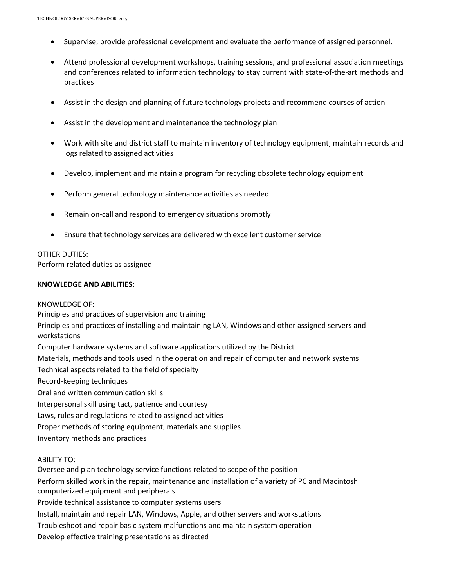- Supervise, provide professional development and evaluate the performance of assigned personnel.
- Attend professional development workshops, training sessions, and professional association meetings and conferences related to information technology to stay current with state-of-the-art methods and practices
- Assist in the design and planning of future technology projects and recommend courses of action
- Assist in the development and maintenance the technology plan
- Work with site and district staff to maintain inventory of technology equipment; maintain records and logs related to assigned activities
- Develop, implement and maintain a program for recycling obsolete technology equipment
- Perform general technology maintenance activities as needed
- Remain on-call and respond to emergency situations promptly
- Ensure that technology services are delivered with excellent customer service

#### OTHER DUTIES:

Perform related duties as assigned

#### **KNOWLEDGE AND ABILITIES:**

KNOWLEDGE OF: Principles and practices of supervision and training Principles and practices of installing and maintaining LAN, Windows and other assigned servers and workstations Computer hardware systems and software applications utilized by the District Materials, methods and tools used in the operation and repair of computer and network systems Technical aspects related to the field of specialty Record-keeping techniques Oral and written communication skills Interpersonal skill using tact, patience and courtesy Laws, rules and regulations related to assigned activities Proper methods of storing equipment, materials and supplies Inventory methods and practices ABILITY TO: Oversee and plan technology service functions related to scope of the position Perform skilled work in the repair, maintenance and installation of a variety of PC and Macintosh computerized equipment and peripherals

Provide technical assistance to computer systems users

Install, maintain and repair LAN, Windows, Apple, and other servers and workstations

Troubleshoot and repair basic system malfunctions and maintain system operation

Develop effective training presentations as directed